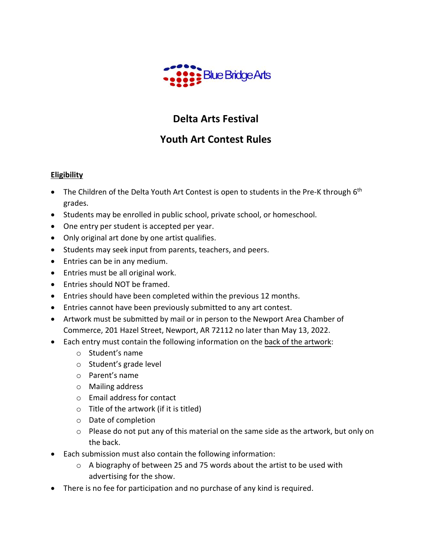

# **Delta Arts Festival**

## **Youth Art Contest Rules**

### **Eligibility**

- The Children of the Delta Youth Art Contest is open to students in the Pre-K through 6<sup>th</sup> grades.
- Students may be enrolled in public school, private school, or homeschool.
- One entry per student is accepted per year.
- Only original art done by one artist qualifies.
- Students may seek input from parents, teachers, and peers.
- Entries can be in any medium.
- Entries must be all original work.
- Entries should NOT be framed.
- Entries should have been completed within the previous 12 months.
- Entries cannot have been previously submitted to any art contest.
- Artwork must be submitted by mail or in person to the Newport Area Chamber of Commerce, 201 Hazel Street, Newport, AR 72112 no later than May 13, 2022.
- Each entry must contain the following information on the back of the artwork:
	- o Student's name
	- o Student's grade level
	- o Parent's name
	- o Mailing address
	- o Email address for contact
	- $\circ$  Title of the artwork (if it is titled)
	- o Date of completion
	- o Please do not put any of this material on the same side as the artwork, but only on the back.
- Each submission must also contain the following information:
	- o A biography of between 25 and 75 words about the artist to be used with advertising for the show.
- There is no fee for participation and no purchase of any kind is required.